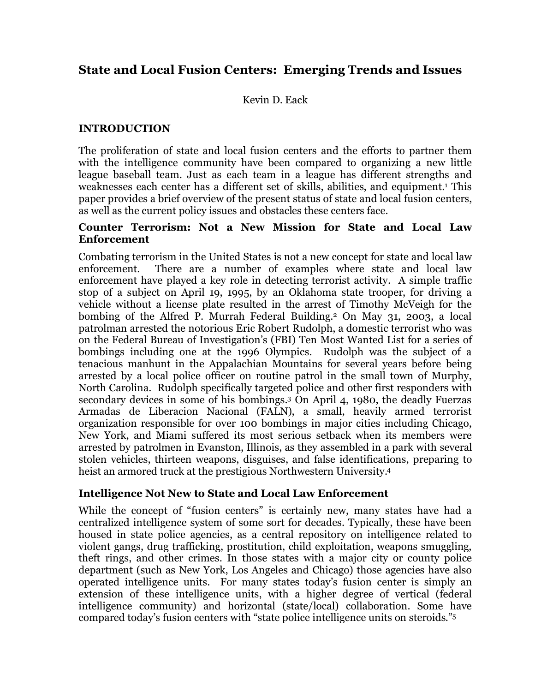# **State and Local Fusion Centers: Emerging Trends and Issues**

## Kevin D. Eack

#### **INTRODUCTION**

The proliferation of state and local fusion centers and the efforts to partner them with the intelligence community have been compared to organizing a new little league baseball team. Just as each team in a league has different strengths and weaknesses each center has a different set of skills, abilities, and equipment.1 This paper provides a brief overview of the present status of state and local fusion centers, as well as the current policy issues and obstacles these centers face.

## **Counter Terrorism: Not a New Mission for State and Local Law Enforcement**

Combating terrorism in the United States is not a new concept for state and local law enforcement. There are a number of examples where state and local law enforcement have played a key role in detecting terrorist activity. A simple traffic stop of a subject on April 19, 1995, by an Oklahoma state trooper, for driving a vehicle without a license plate resulted in the arrest of Timothy McVeigh for the bombing of the Alfred P. Murrah Federal Building. 2 On May 31, 2003, a local patrolman arrested the notorious Eric Robert Rudolph, a domestic terrorist who was on the Federal Bureau of Investigation's (FBI) Ten Most Wanted List for a series of bombings including one at the 1996 Olympics. Rudolph was the subject of a tenacious manhunt in the Appalachian Mountains for several years before being arrested by a local police officer on routine patrol in the small town of Murphy, North Carolina. Rudolph specifically targeted police and other first responders with secondary devices in some of his bombings.3 On April 4, 1980, the deadly Fuerzas Armadas de Liberacion Nacional (FALN), a small, heavily armed terrorist organization responsible for over 100 bombings in major cities including Chicago, New York, and Miami suffered its most serious setback when its members were arrested by patrolmen in Evanston, Illinois, as they assembled in a park with several stolen vehicles, thirteen weapons, disguises, and false identifications, preparing to heist an armored truck at the prestigious Northwestern University.4

## **Intelligence Not New to State and Local Law Enforcement**

While the concept of "fusion centers" is certainly new, many states have had a centralized intelligence system of some sort for decades. Typically, these have been housed in state police agencies, as a central repository on intelligence related to violent gangs, drug trafficking, prostitution, child exploitation, weapons smuggling, theft rings, and other crimes. In those states with a major city or county police department (such as New York, Los Angeles and Chicago) those agencies have also operated intelligence units. For many states today's fusion center is simply an extension of these intelligence units, with a higher degree of vertical (federal intelligence community) and horizontal (state/local) collaboration. Some have compared today's fusion centers with "state police intelligence units on steroids."5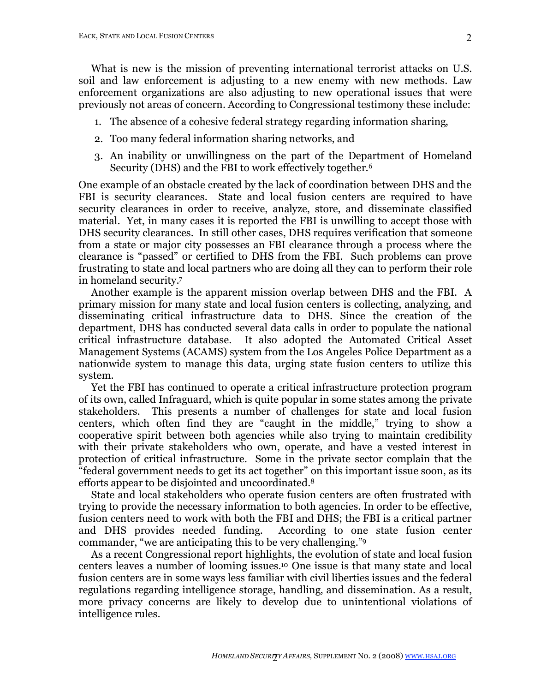What is new is the mission of preventing international terrorist attacks on U.S. soil and law enforcement is adjusting to a new enemy with new methods. Law enforcement organizations are also adjusting to new operational issues that were previously not areas of concern. According to Congressional testimony these include:

- 1. The absence of a cohesive federal strategy regarding information sharing,
- 2. Too many federal information sharing networks, and
- 3. An inability or unwillingness on the part of the Department of Homeland Security (DHS) and the FBI to work effectively together.<sup>6</sup>

One example of an obstacle created by the lack of coordination between DHS and the FBI is security clearances. State and local fusion centers are required to have security clearances in order to receive, analyze, store, and disseminate classified material. Yet, in many cases it is reported the FBI is unwilling to accept those with DHS security clearances. In still other cases, DHS requires verification that someone from a state or major city possesses an FBI clearance through a process where the clearance is "passed" or certified to DHS from the FBI. Such problems can prove frustrating to state and local partners who are doing all they can to perform their role in homeland security.7

Another example is the apparent mission overlap between DHS and the FBI. A primary mission for many state and local fusion centers is collecting, analyzing, and disseminating critical infrastructure data to DHS. Since the creation of the department, DHS has conducted several data calls in order to populate the national critical infrastructure database. It also adopted the Automated Critical Asset Management Systems (ACAMS) system from the Los Angeles Police Department as a nationwide system to manage this data, urging state fusion centers to utilize this system.

Yet the FBI has continued to operate a critical infrastructure protection program of its own, called Infraguard, which is quite popular in some states among the private stakeholders. This presents a number of challenges for state and local fusion centers, which often find they are "caught in the middle," trying to show a cooperative spirit between both agencies while also trying to maintain credibility with their private stakeholders who own, operate, and have a vested interest in protection of critical infrastructure. Some in the private sector complain that the "federal government needs to get its act together" on this important issue soon, as its efforts appear to be disjointed and uncoordinated.8

State and local stakeholders who operate fusion centers are often frustrated with trying to provide the necessary information to both agencies. In order to be effective, fusion centers need to work with both the FBI and DHS; the FBI is a critical partner and DHS provides needed funding. According to one state fusion center commander, "we are anticipating this to be very challenging."9

As a recent Congressional report highlights, the evolution of state and local fusion centers leaves a number of looming issues.10 One issue is that many state and local fusion centers are in some ways less familiar with civil liberties issues and the federal regulations regarding intelligence storage, handling, and dissemination. As a result, more privacy concerns are likely to develop due to unintentional violations of intelligence rules.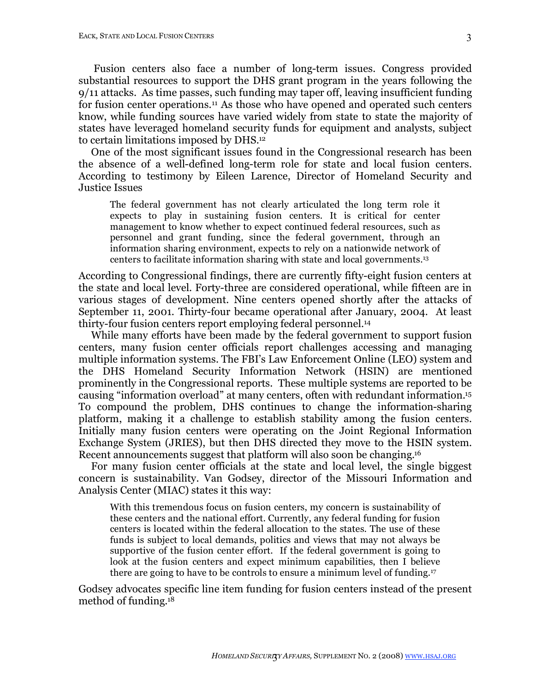Fusion centers also face a number of long-term issues. Congress provided substantial resources to support the DHS grant program in the years following the 9/11 attacks. As time passes, such funding may taper off, leaving insufficient funding for fusion center operations.11 As those who have opened and operated such centers know, while funding sources have varied widely from state to state the majority of states have leveraged homeland security funds for equipment and analysts, subject to certain limitations imposed by DHS.12

One of the most significant issues found in the Congressional research has been the absence of a well-defined long-term role for state and local fusion centers. According to testimony by Eileen Larence, Director of Homeland Security and Justice Issues

The federal government has not clearly articulated the long term role it expects to play in sustaining fusion centers. It is critical for center management to know whether to expect continued federal resources, such as personnel and grant funding, since the federal government, through an information sharing environment, expects to rely on a nationwide network of centers to facilitate information sharing with state and local governments.13

According to Congressional findings, there are currently fifty-eight fusion centers at the state and local level. Forty-three are considered operational, while fifteen are in various stages of development. Nine centers opened shortly after the attacks of September 11, 2001. Thirty-four became operational after January, 2004. At least thirty-four fusion centers report employing federal personnel.14

While many efforts have been made by the federal government to support fusion centers, many fusion center officials report challenges accessing and managing multiple information systems. The FBI's Law Enforcement Online (LEO) system and the DHS Homeland Security Information Network (HSIN) are mentioned prominently in the Congressional reports. These multiple systems are reported to be causing "information overload" at many centers, often with redundant information.15 To compound the problem, DHS continues to change the information-sharing platform, making it a challenge to establish stability among the fusion centers. Initially many fusion centers were operating on the Joint Regional Information Exchange System (JRIES), but then DHS directed they move to the HSIN system. Recent announcements suggest that platform will also soon be changing.16

For many fusion center officials at the state and local level, the single biggest concern is sustainability. Van Godsey, director of the Missouri Information and Analysis Center (MIAC) states it this way:

With this tremendous focus on fusion centers, my concern is sustainability of these centers and the national effort. Currently, any federal funding for fusion centers is located within the federal allocation to the states. The use of these funds is subject to local demands, politics and views that may not always be supportive of the fusion center effort. If the federal government is going to look at the fusion centers and expect minimum capabilities, then I believe there are going to have to be controls to ensure a minimum level of funding.17

Godsey advocates specific line item funding for fusion centers instead of the present method of funding.18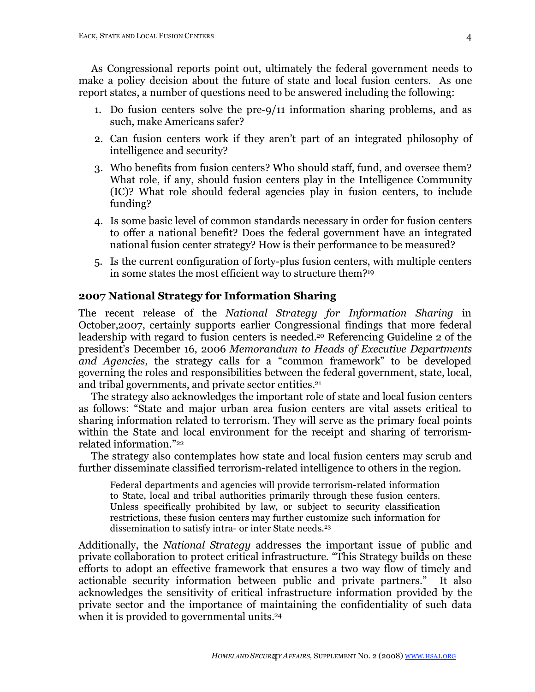As Congressional reports point out, ultimately the federal government needs to make a policy decision about the future of state and local fusion centers. As one report states, a number of questions need to be answered including the following:

- 1. Do fusion centers solve the pre-9/11 information sharing problems, and as such, make Americans safer?
- 2. Can fusion centers work if they aren't part of an integrated philosophy of intelligence and security?
- 3. Who benefits from fusion centers? Who should staff, fund, and oversee them? What role, if any, should fusion centers play in the Intelligence Community (IC)? What role should federal agencies play in fusion centers, to include funding?
- 4. Is some basic level of common standards necessary in order for fusion centers to offer a national benefit? Does the federal government have an integrated national fusion center strategy? How is their performance to be measured?
- 5. Is the current configuration of forty-plus fusion centers, with multiple centers in some states the most efficient way to structure them?19

#### **2007 National Strategy for Information Sharing**

The recent release of the *National Strategy for Information Sharing* in October,2007, certainly supports earlier Congressional findings that more federal leadership with regard to fusion centers is needed.20 Referencing Guideline 2 of the president's December 16, 2006 *Memorandum to Heads of Executive Departments and Agencies,* the strategy calls for a "common framework" to be developed governing the roles and responsibilities between the federal government, state, local, and tribal governments, and private sector entities.21

The strategy also acknowledges the important role of state and local fusion centers as follows: "State and major urban area fusion centers are vital assets critical to sharing information related to terrorism. They will serve as the primary focal points within the State and local environment for the receipt and sharing of terrorismrelated information."22

The strategy also contemplates how state and local fusion centers may scrub and further disseminate classified terrorism-related intelligence to others in the region.

Federal departments and agencies will provide terrorism-related information to State, local and tribal authorities primarily through these fusion centers. Unless specifically prohibited by law, or subject to security classification restrictions, these fusion centers may further customize such information for dissemination to satisfy intra- or inter State needs.<sup>23</sup>

Additionally, the *National Strategy* addresses the important issue of public and private collaboration to protect critical infrastructure. "This Strategy builds on these efforts to adopt an effective framework that ensures a two way flow of timely and actionable security information between public and private partners." It also acknowledges the sensitivity of critical infrastructure information provided by the private sector and the importance of maintaining the confidentiality of such data when it is provided to governmental units.<sup>24</sup>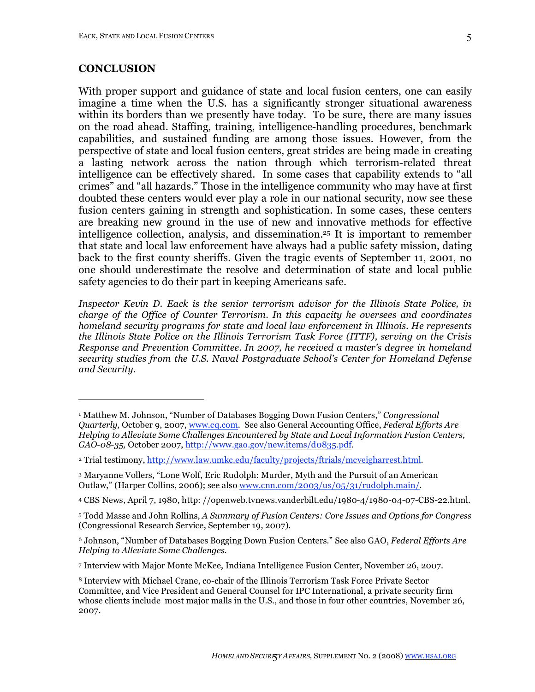#### **CONCLUSION**

 $\overline{a}$ 

With proper support and guidance of state and local fusion centers, one can easily imagine a time when the U.S. has a significantly stronger situational awareness within its borders than we presently have today. To be sure, there are many issues on the road ahead. Staffing, training, intelligence-handling procedures, benchmark capabilities, and sustained funding are among those issues. However, from the perspective of state and local fusion centers, great strides are being made in creating a lasting network across the nation through which terrorism-related threat intelligence can be effectively shared. In some cases that capability extends to "all crimes" and "all hazards." Those in the intelligence community who may have at first doubted these centers would ever play a role in our national security, now see these fusion centers gaining in strength and sophistication. In some cases, these centers are breaking new ground in the use of new and innovative methods for effective intelligence collection, analysis, and dissemination.25 It is important to remember that state and local law enforcement have always had a public safety mission, dating back to the first county sheriffs. Given the tragic events of September 11, 2001, no one should underestimate the resolve and determination of state and local public safety agencies to do their part in keeping Americans safe.

*Inspector Kevin D. Eack is the senior terrorism advisor for the Illinois State Police, in charge of the Office of Counter Terrorism. In this capacity he oversees and coordinates homeland security programs for state and local law enforcement in Illinois. He represents the Illinois State Police on the Illinois Terrorism Task Force (ITTF), serving on the Crisis Response and Prevention Committee. In 2007, he received a master's degree in homeland security studies from the U.S. Naval Postgraduate School's Center for Homeland Defense and Security.*

<sup>1</sup> Matthew M. Johnson, "Number of Databases Bogging Down Fusion Centers," *Congressional Quarterly,* October 9, 2007, www.cq.com. See also General Accounting Office, *Federal Efforts Are Helping to Alleviate Some Challenges Encountered by State and Local Information Fusion Centers, GAO-08-35,* October 2007, http://www.gao.gov/new.items/d0835.pdf.

<sup>2</sup> Trial testimony, http://www.law.umkc.edu/faculty/projects/ftrials/mcveigharrest.html.

<sup>3</sup> Maryanne Vollers, "Lone Wolf, Eric Rudolph: Murder, Myth and the Pursuit of an American Outlaw," (Harper Collins, 2006); see also www.cnn.com/2003/us/05/31/rudolph.main/.

<sup>4</sup> CBS News, April 7, 1980, http: //openweb.tvnews.vanderbilt.edu/1980-4/1980-04-07-CBS-22.html.

<sup>5</sup> Todd Masse and John Rollins, *A Summary of Fusion Centers: Core Issues and Options for Congress* (Congressional Research Service, September 19, 2007).

<sup>6</sup> Johnson, "Number of Databases Bogging Down Fusion Centers." See also GAO, *Federal Efforts Are Helping to Alleviate Some Challenges.*

<sup>7</sup> Interview with Major Monte McKee, Indiana Intelligence Fusion Center, November 26, 2007.

<sup>8</sup> Interview with Michael Crane, co-chair of the Illinois Terrorism Task Force Private Sector Committee, and Vice President and General Counsel for IPC International, a private security firm whose clients include most major malls in the U.S., and those in four other countries, November 26, 2007.